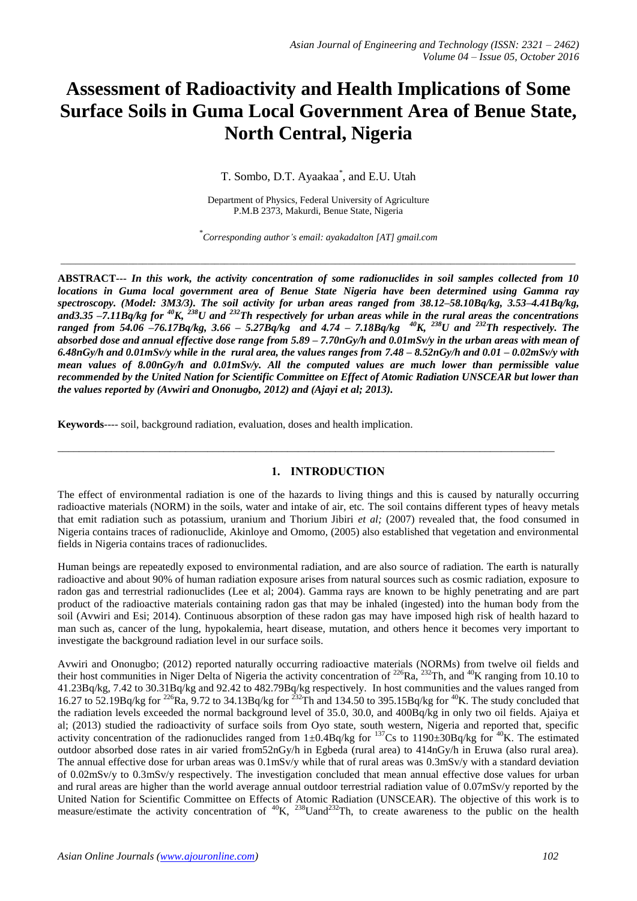# **Assessment of Radioactivity and Health Implications of Some Surface Soils in Guma Local Government Area of Benue State, North Central, Nigeria**

T. Sombo, D.T. Ayaakaa\* , and E.U. Utah

Department of Physics, Federal University of Agriculture P.M.B 2373, Makurdi, Benue State, Nigeria

\* *Corresponding author's email: ayakadalton [AT] gmail.com*

*\_\_\_\_\_\_\_\_\_\_\_\_\_\_\_\_\_\_\_\_\_\_\_\_\_\_\_\_\_\_\_\_\_\_\_\_\_\_\_\_\_\_\_\_\_\_\_\_\_\_\_\_\_\_\_\_\_\_\_\_\_\_\_\_\_\_\_\_\_\_\_\_\_\_\_\_\_\_\_\_\_\_\_\_\_\_\_\_\_\_\_\_\_\_\_\_\_\_\_\_\_\_\_\_\_\_\_*

**ABSTRACT---** *In this work, the activity concentration of some radionuclides in soil samples collected from 10 locations in Guma local government area of Benue State Nigeria have been determined using Gamma ray spectroscopy. (Model: 3M3/3). The soil activity for urban areas ranged from 38.12–58.10Bq/kg, 3.53–4.41Bq/kg,*  and3.35 –7.11Bq/kg for <sup> $40$ </sup>K,  $^{238}$ U and  $^{232}$ Th respectively for urban areas while in the rural areas the concentrations *ranged from 54.06 –76.17Bq/kg, 3.66 – 5.27Bq/kg and 4.74 – 7.18Bq/kg <sup>40</sup>K, <sup>238</sup>U and <sup>232</sup>Th respectively. The absorbed dose and annual effective dose range from 5.89 – 7.70nGy/h and 0.01mSv/y in the urban areas with mean of 6.48nGy/h and 0.01mSv/y while in the rural area, the values ranges from 7.48 – 8.52nGy/h and 0.01 – 0.02mSv/y with mean values of 8.00nGy/h and 0.01mSv/y. All the computed values are much lower than permissible value recommended by the United Nation for Scientific Committee on Effect of Atomic Radiation UNSCEAR but lower than the values reported by (Avwiri and Ononugbo, 2012) and (Ajayi et al; 2013).* 

**Keywords**---- soil, background radiation, evaluation, doses and health implication.

### **1. INTRODUCTION**

\_\_\_\_\_\_\_\_\_\_\_\_\_\_\_\_\_\_\_\_\_\_\_\_\_\_\_\_\_\_\_\_\_\_\_\_\_\_\_\_\_\_\_\_\_\_\_\_\_\_\_\_\_\_\_\_\_\_\_\_\_\_\_\_\_\_\_\_\_\_\_\_\_\_\_\_\_\_\_\_\_\_\_\_\_\_\_\_\_\_\_\_\_

The effect of environmental radiation is one of the hazards to living things and this is caused by naturally occurring radioactive materials (NORM) in the soils, water and intake of air, etc. The soil contains different types of heavy metals that emit radiation such as potassium, uranium and Thorium Jibiri *et al;* (2007) revealed that, the food consumed in Nigeria contains traces of radionuclide, Akinloye and Omomo, (2005) also established that vegetation and environmental fields in Nigeria contains traces of radionuclides.

Human beings are repeatedly exposed to environmental radiation, and are also source of radiation. The earth is naturally radioactive and about 90% of human radiation exposure arises from natural sources such as cosmic radiation, exposure to radon gas and terrestrial radionuclides (Lee et al; 2004). Gamma rays are known to be highly penetrating and are part product of the radioactive materials containing radon gas that may be inhaled (ingested) into the human body from the soil (Avwiri and Esi; 2014). Continuous absorption of these radon gas may have imposed high risk of health hazard to man such as, cancer of the lung, hypokalemia, heart disease, mutation, and others hence it becomes very important to investigate the background radiation level in our surface soils.

Avwiri and Ononugbo; (2012) reported naturally occurring radioactive materials (NORMs) from twelve oil fields and their host communities in Niger Delta of Nigeria the activity concentration of  $^{226}Ra$ ,  $^{232}Th$ , and  $^{40}K$  ranging from 10.10 to 41.23Bq/kg, 7.42 to 30.31Bq/kg and 92.42 to 482.79Bq/kg respectively. In host communities and the values ranged from 16.27 to 52.19Bq/kg for <sup>226</sup>Ra, 9.72 to 34.13Bq/kg for <sup>232</sup>Th and 134.50 to 395.15Bq/kg for <sup>40</sup>K. The study concluded that the radiation levels exceeded the normal background level of 35.0, 30.0, and 400Bq/kg in only two oil fields. Ajaiya et al; (2013) studied the radioactivity of surface soils from Oyo state, south western, Nigeria and reported that, specific activity concentration of the radionuclides ranged from  $1\pm0.4Bq/kg$  for  $137Cs$  to  $1190\pm30Bq/kg$  for  $40K$ . The estimated outdoor absorbed dose rates in air varied from52nGy/h in Egbeda (rural area) to 414nGy/h in Eruwa (also rural area). The annual effective dose for urban areas was 0.1mSv/y while that of rural areas was 0.3mSv/y with a standard deviation of 0.02mSv/y to 0.3mSv/y respectively. The investigation concluded that mean annual effective dose values for urban and rural areas are higher than the world average annual outdoor terrestrial radiation value of 0.07mSv/y reported by the United Nation for Scientific Committee on Effects of Atomic Radiation (UNSCEAR). The objective of this work is to measure/estimate the activity concentration of  ${}^{40}K$ ,  ${}^{238}$ Uand<sup>232</sup>Th, to create awareness to the public on the health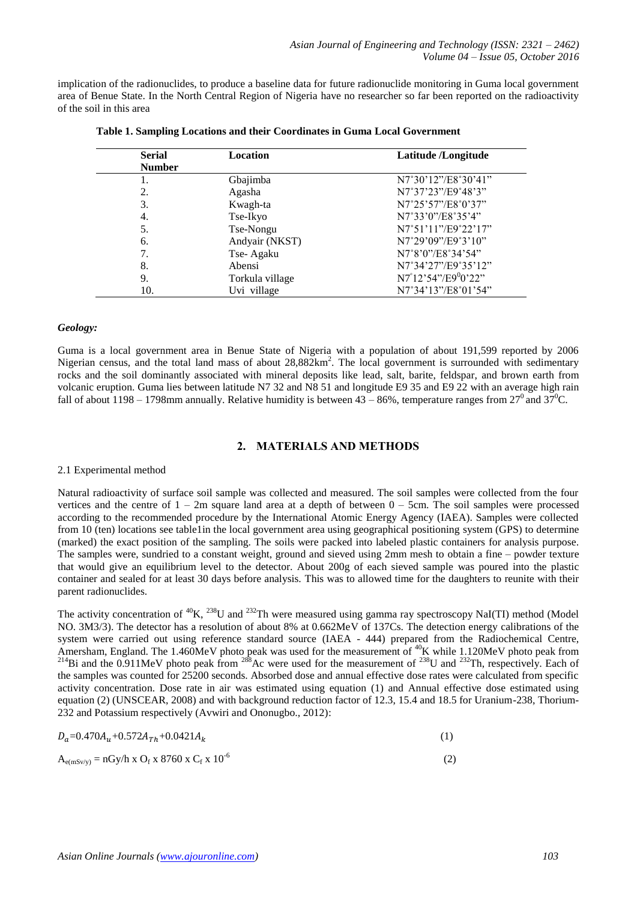implication of the radionuclides, to produce a baseline data for future radionuclide monitoring in Guma local government area of Benue State. In the North Central Region of Nigeria have no researcher so far been reported on the radioactivity of the soil in this area

| <b>Serial</b> | Location        | Latitude /Longitude |
|---------------|-----------------|---------------------|
| <b>Number</b> |                 |                     |
|               | Gbajimba        | N7°30'12"/E8°30'41" |
| 2.            | Agasha          | N7°37'23"/E9°48'3"  |
| 3.            | Kwagh-ta        | N7°25'57"/E8°0'37"  |
| 4.            | Tse-Ikyo        | N7°33'0"/E8°35'4"   |
| 5.            | Tse-Nongu       | N7°51'11"/E9°22'17" |
| 6.            | Andyair (NKST)  | N7°29'09"/E9°3'10"  |
| 7.            | Tse-Agaku       | N7°8'0"/E8°34'54"   |
| 8.            | Abensi          | N7°34'27"/E9°35'12" |
| 9.            | Torkula village | N7°12'54"/E9°0'22"  |
| 10.           | Uvi village     | N7°34'13"/E8°01'54" |

|  |  | Table 1. Sampling Locations and their Coordinates in Guma Local Government |  |
|--|--|----------------------------------------------------------------------------|--|
|  |  |                                                                            |  |
|  |  |                                                                            |  |

#### *Geology:*

Guma is a local government area in Benue State of Nigeria with a population of about 191,599 reported by 2006 Nigerian census, and the total land mass of about 28,882km<sup>2</sup>. The local government is surrounded with sedimentary rocks and the soil dominantly associated with mineral deposits like lead, salt, barite, feldspar, and brown earth from volcanic eruption. Guma lies between latitude N7 32 and N8 51 and longitude E9 35 and E9 22 with an average high rain fall of about 1198 – 1798mm annually. Relative humidity is between 43 – 86%, temperature ranges from  $27^0$  and  $37^0$ C.

## **2. MATERIALS AND METHODS**

### 2.1 Experimental method

Natural radioactivity of surface soil sample was collected and measured. The soil samples were collected from the four vertices and the centre of  $1 - 2m$  square land area at a depth of between  $0 - 5cm$ . The soil samples were processed according to the recommended procedure by the International Atomic Energy Agency (IAEA). Samples were collected from 10 (ten) locations see table1in the local government area using geographical positioning system (GPS) to determine (marked) the exact position of the sampling. The soils were packed into labeled plastic containers for analysis purpose. The samples were, sundried to a constant weight, ground and sieved using 2mm mesh to obtain a fine – powder texture that would give an equilibrium level to the detector. About 200g of each sieved sample was poured into the plastic container and sealed for at least 30 days before analysis. This was to allowed time for the daughters to reunite with their parent radionuclides.

The activity concentration of  ${}^{40}$ K,  ${}^{238}$ U and  ${}^{232}$ Th were measured using gamma ray spectroscopy NaI(TI) method (Model NO. 3M3/3). The detector has a resolution of about 8% at 0.662MeV of 137Cs. The detection energy calibrations of the system were carried out using reference standard source (IAEA - 444) prepared from the Radiochemical Centre, Amersham, England. The  $1.460$ MeV photo peak was used for the measurement of  $^{40}$ K while  $1.120$ MeV photo peak from <sup>214</sup>Bi and the 0.911MeV photo peak from <sup>288</sup>Ac were used for the measurement of <sup>238</sup>U and <sup>232</sup>Th, respectively. Each of the samples was counted for 25200 seconds. Absorbed dose and annual effective dose rates were calculated from specific activity concentration. Dose rate in air was estimated using equation (1) and Annual effective dose estimated using equation (2) (UNSCEAR, 2008) and with background reduction factor of 12.3, 15.4 and 18.5 for Uranium-238, Thorium-232 and Potassium respectively (Avwiri and Ononugbo., 2012):

$$
D_a = 0.470A_u + 0.572A_{Th} + 0.0421A_k \tag{1}
$$

$$
A_{e(mSv/y)} = nGy/h \times O_f \times 8760 \times C_f \times 10^{-6}
$$
 (2)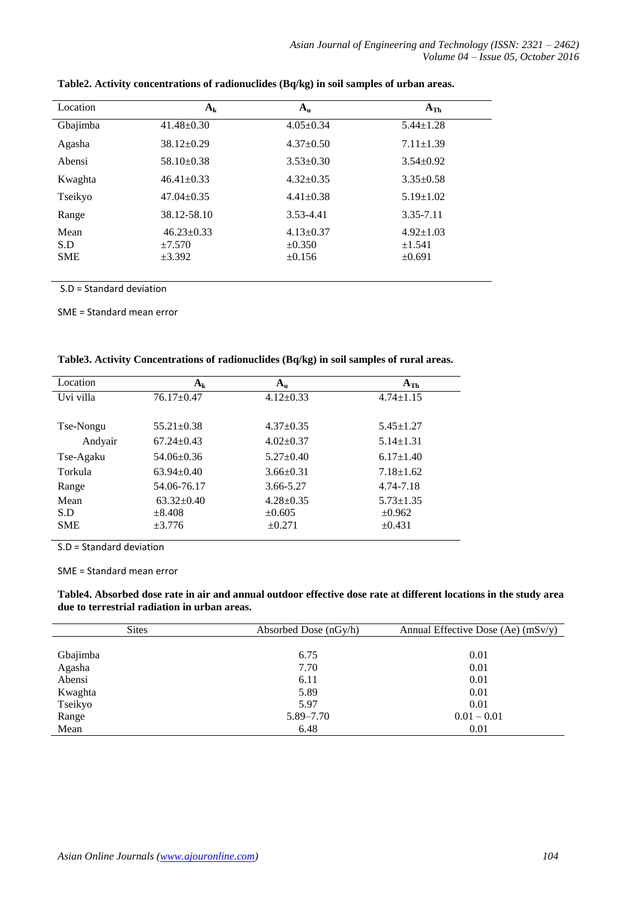| Location                  | $A_k$                                          | $A_{\rm u}$                                   | $A_{Th}$                                 |
|---------------------------|------------------------------------------------|-----------------------------------------------|------------------------------------------|
| Gbajimba                  | $41.48 \pm 0.30$                               | $4.05 \pm 0.34$                               | $5.44 \pm 1.28$                          |
| Agasha                    | $38.12 \pm 0.29$                               | $4.37 \pm 0.50$                               | $7.11 \pm 1.39$                          |
| Abensi                    | $58.10 \pm 0.38$                               | $3.53 \pm 0.30$                               | $3.54 \pm 0.92$                          |
| Kwaghta                   | $46.41 \pm 0.33$                               | $4.32 \pm 0.35$                               | $3.35 \pm 0.58$                          |
| Tseikyo                   | $47.04 \pm 0.35$                               | $4.41 \pm 0.38$                               | $5.19 \pm 1.02$                          |
| Range                     | 38.12-58.10                                    | 3.53-4.41                                     | 3.35-7.11                                |
| Mean<br>S.D<br><b>SME</b> | $46.23 \pm 0.33$<br>$\pm 7.570$<br>$\pm 3.392$ | $4.13 \pm 0.37$<br>$\pm 0.350$<br>$\pm 0.156$ | $4.92 \pm 1.03$<br>±1.541<br>$\pm 0.691$ |

**Table2. Activity concentrations of radionuclides (Bq/kg) in soil samples of urban areas.**

S.D = Standard deviation

SME = Standard mean error

|  |  | Table3. Activity Concentrations of radionuclides (Bq/kg) in soil samples of rural areas. |
|--|--|------------------------------------------------------------------------------------------|
|  |  |                                                                                          |

| Location   | $A_{k}$          | $\mathbf{A}_{\mathbf{u}}$ | $A_{Th}$        |
|------------|------------------|---------------------------|-----------------|
| Uvi villa  | $76.17 \pm 0.47$ | $4.12 \pm 0.33$           | $4.74 \pm 1.15$ |
| Tse-Nongu  | $55.21 \pm 0.38$ | $4.37 \pm 0.35$           | $5.45 \pm 1.27$ |
| Andyair    | $67.24 \pm 0.43$ | $4.02 \pm 0.37$           | $5.14 \pm 1.31$ |
| Tse-Agaku  | $54.06 \pm 0.36$ | $5.27 \pm 0.40$           | $6.17 \pm 1.40$ |
| Torkula    | $63.94 \pm 0.40$ | $3.66 \pm 0.31$           | $7.18 \pm 1.62$ |
| Range      | 54.06-76.17      | 3.66-5.27                 | 4.74-7.18       |
| Mean       | $63.32 \pm 0.40$ | $4.28 \pm 0.35$           | $5.73 \pm 1.35$ |
| S.D        | $\pm 8.408$      | $\pm 0.605$               | $\pm 0.962$     |
| <b>SME</b> | $\pm 3.776$      | $\pm 0.271$               | $\pm 0.431$     |

S.D = Standard deviation

SME = Standard mean error

**Table4. Absorbed dose rate in air and annual outdoor effective dose rate at different locations in the study area due to terrestrial radiation in urban areas.** 

| <b>Sites</b> | Absorbed Dose (nGy/h) | Annual Effective Dose (Ae) $(mSv/y)$ |
|--------------|-----------------------|--------------------------------------|
|              |                       |                                      |
| Gbajimba     | 6.75                  | 0.01                                 |
| Agasha       | 7.70                  | 0.01                                 |
| Abensi       | 6.11                  | 0.01                                 |
| Kwaghta      | 5.89                  | 0.01                                 |
| Tseikyo      | 5.97                  | 0.01                                 |
| Range        | 5.89–7.70             | $0.01 - 0.01$                        |
| Mean         | 6.48                  | 0.01                                 |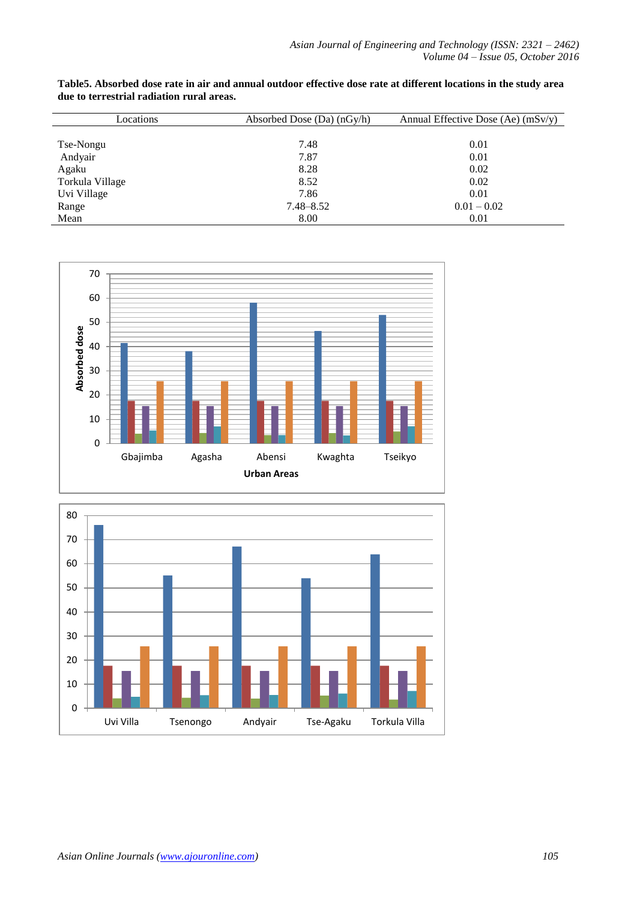| Locations       | Absorbed Dose (Da) (nGy/h) | Annual Effective Dose (Ae) $(mSv/y)$ |
|-----------------|----------------------------|--------------------------------------|
|                 |                            |                                      |
| Tse-Nongu       | 7.48                       | 0.01                                 |
| Andyair         | 7.87                       | 0.01                                 |
| Agaku           | 8.28                       | 0.02                                 |
| Torkula Village | 8.52                       | 0.02                                 |
| Uvi Village     | 7.86                       | 0.01                                 |
| Range           | $7.48 - 8.52$              | $0.01 - 0.02$                        |
| Mean            | 8.00                       | 0.01                                 |

**Table5. Absorbed dose rate in air and annual outdoor effective dose rate at different locations in the study area due to terrestrial radiation rural areas.**



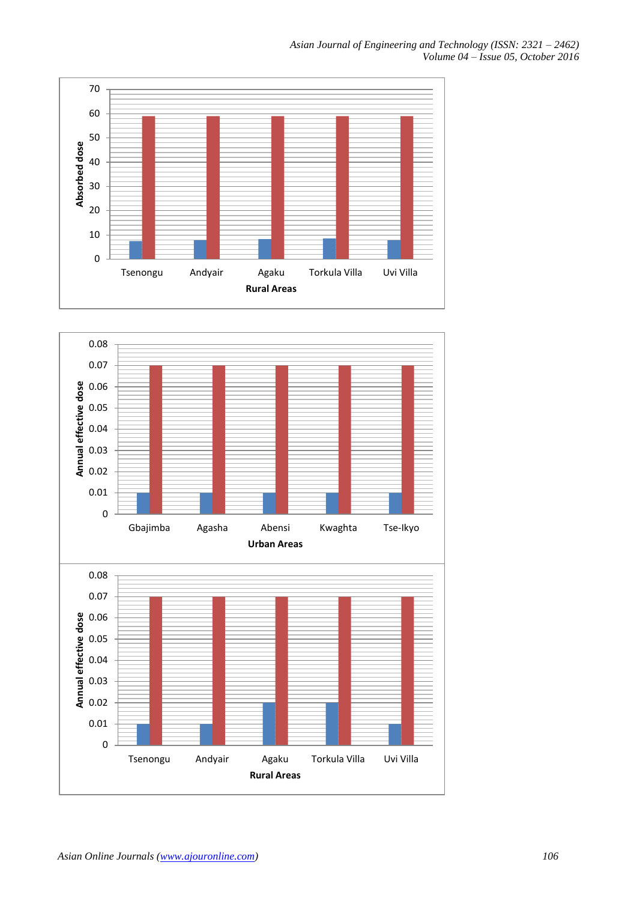*Asian Journal of Engineering and Technology (ISSN: 2321 – 2462) Volume 04 – Issue 05, October 2016*



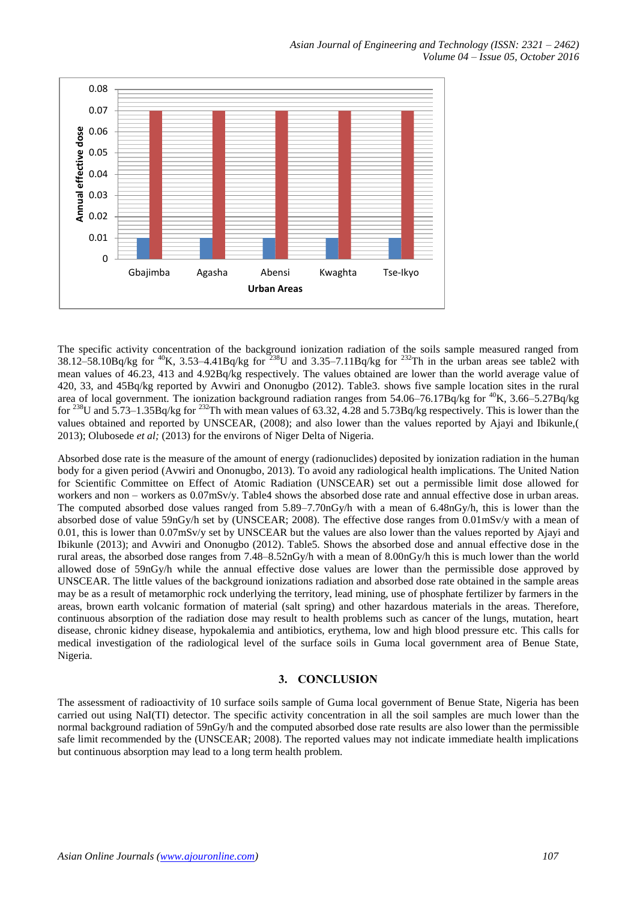

The specific activity concentration of the background ionization radiation of the soils sample measured ranged from  $38.12-58.10Bq/kg$  for <sup>40</sup>K,  $3.53-4.41Bq/kg$  for  $238$ U and  $3.35-7.11Bq/kg$  for  $232$ Th in the urban areas see table2 with mean values of 46.23, 413 and 4.92Bq/kg respectively. The values obtained are lower than the world average value of 420, 33, and 45Bq/kg reported by Avwiri and Ononugbo (2012). Table3. shows five sample location sites in the rural area of local government. The ionization background radiation ranges from 54.06–76.17Bq/kg for <sup>40</sup>K, 3.66–5.27Bq/kg for <sup>238</sup>U and  $5.73-1.35Bq/kg$  for <sup>232</sup>Th with mean values of 63.32, 4.28 and  $5.73Bq/kg$  respectively. This is lower than the values obtained and reported by UNSCEAR, (2008); and also lower than the values reported by Ajayi and Ibikunle,( 2013); Olubosede *et al;* (2013) for the environs of Niger Delta of Nigeria.

Absorbed dose rate is the measure of the amount of energy (radionuclides) deposited by ionization radiation in the human body for a given period (Avwiri and Ononugbo, 2013). To avoid any radiological health implications. The United Nation for Scientific Committee on Effect of Atomic Radiation (UNSCEAR) set out a permissible limit dose allowed for workers and non – workers as 0.07mSv/y. Table4 shows the absorbed dose rate and annual effective dose in urban areas. The computed absorbed dose values ranged from 5.89–7.70nGy/h with a mean of 6.48nGy/h, this is lower than the absorbed dose of value 59nGy/h set by (UNSCEAR; 2008). The effective dose ranges from 0.01mSv/y with a mean of 0.01, this is lower than 0.07mSv/y set by UNSCEAR but the values are also lower than the values reported by Ajayi and Ibikunle (2013); and Avwiri and Ononugbo (2012). Table5. Shows the absorbed dose and annual effective dose in the rural areas, the absorbed dose ranges from 7.48–8.52nGy/h with a mean of 8.00nGy/h this is much lower than the world allowed dose of 59nGy/h while the annual effective dose values are lower than the permissible dose approved by UNSCEAR. The little values of the background ionizations radiation and absorbed dose rate obtained in the sample areas may be as a result of metamorphic rock underlying the territory, lead mining, use of phosphate fertilizer by farmers in the areas, brown earth volcanic formation of material (salt spring) and other hazardous materials in the areas. Therefore, continuous absorption of the radiation dose may result to health problems such as cancer of the lungs, mutation, heart disease, chronic kidney disease, hypokalemia and antibiotics, erythema, low and high blood pressure etc. This calls for medical investigation of the radiological level of the surface soils in Guma local government area of Benue State, Nigeria.

## **3. CONCLUSION**

The assessment of radioactivity of 10 surface soils sample of Guma local government of Benue State, Nigeria has been carried out using NaI(TI) detector. The specific activity concentration in all the soil samples are much lower than the normal background radiation of 59nGy/h and the computed absorbed dose rate results are also lower than the permissible safe limit recommended by the (UNSCEAR; 2008). The reported values may not indicate immediate health implications but continuous absorption may lead to a long term health problem.